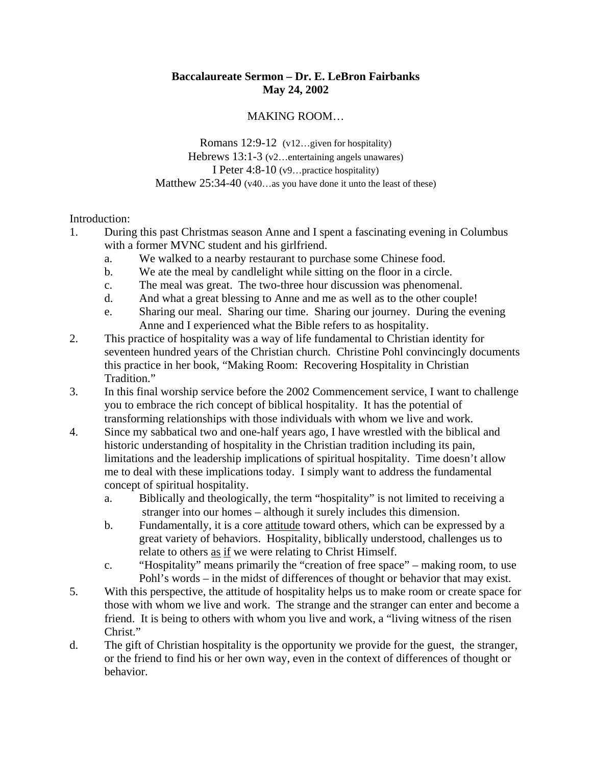## **Baccalaureate Sermon – Dr. E. LeBron Fairbanks May 24, 2002**

## MAKING ROOM…

Romans 12:9-12 (v12…given for hospitality) Hebrews 13:1-3 (v2…entertaining angels unawares) I Peter 4:8-10 (v9…practice hospitality) Matthew 25:34-40 (v40...as you have done it unto the least of these)

## Introduction:

- 1. During this past Christmas season Anne and I spent a fascinating evening in Columbus with a former MVNC student and his girlfriend.
	- a. We walked to a nearby restaurant to purchase some Chinese food.
	- b. We ate the meal by candlelight while sitting on the floor in a circle.
	- c. The meal was great. The two-three hour discussion was phenomenal.
	- d. And what a great blessing to Anne and me as well as to the other couple!
	- e. Sharing our meal. Sharing our time. Sharing our journey. During the evening Anne and I experienced what the Bible refers to as hospitality.
- 2. This practice of hospitality was a way of life fundamental to Christian identity for seventeen hundred years of the Christian church. Christine Pohl convincingly documents this practice in her book, "Making Room: Recovering Hospitality in Christian Tradition."
- 3. In this final worship service before the 2002 Commencement service, I want to challenge you to embrace the rich concept of biblical hospitality. It has the potential of transforming relationships with those individuals with whom we live and work.
- 4. Since my sabbatical two and one-half years ago, I have wrestled with the biblical and historic understanding of hospitality in the Christian tradition including its pain, limitations and the leadership implications of spiritual hospitality. Time doesn't allow me to deal with these implications today. I simply want to address the fundamental concept of spiritual hospitality.
	- a. Biblically and theologically, the term "hospitality" is not limited to receiving a stranger into our homes – although it surely includes this dimension.
	- b. Fundamentally, it is a core attitude toward others, which can be expressed by a great variety of behaviors. Hospitality, biblically understood, challenges us to relate to others <u>as if</u> we were relating to Christ Himself.
	- c. "Hospitality" means primarily the "creation of free space" making room, to use Pohl's words – in the midst of differences of thought or behavior that may exist.
- 5. With this perspective, the attitude of hospitality helps us to make room or create space for those with whom we live and work. The strange and the stranger can enter and become a friend. It is being to others with whom you live and work, a "living witness of the risen Christ."
- d. The gift of Christian hospitality is the opportunity we provide for the guest, the stranger, or the friend to find his or her own way, even in the context of differences of thought or behavior.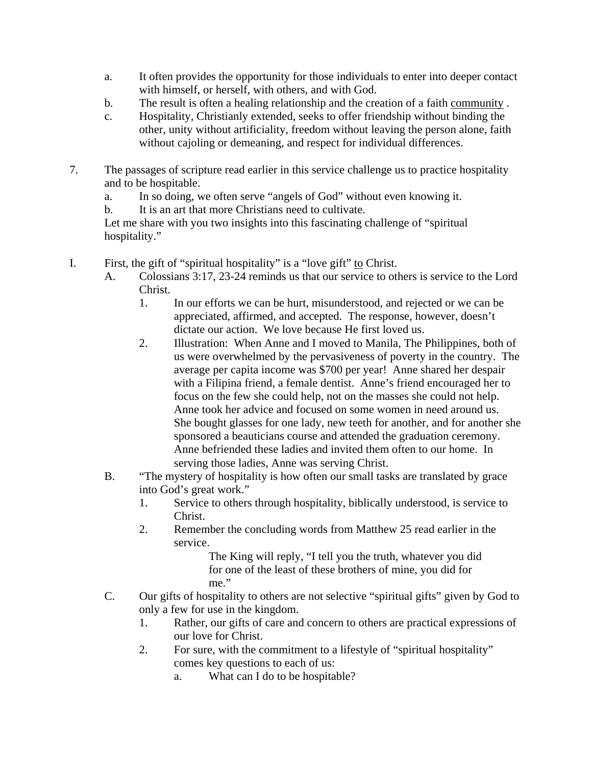- a. It often provides the opportunity for those individuals to enter into deeper contact with himself, or herself, with others, and with God.
- b. The result is often a healing relationship and the creation of a faith community .
- c. Hospitality, Christianly extended, seeks to offer friendship without binding the other, unity without artificiality, freedom without leaving the person alone, faith without cajoling or demeaning, and respect for individual differences.
- 7. The passages of scripture read earlier in this service challenge us to practice hospitality and to be hospitable.
	- a. In so doing, we often serve "angels of God" without even knowing it.
	- b. It is an art that more Christians need to cultivate.

Let me share with you two insights into this fascinating challenge of "spiritual hospitality."

- I. First, the gift of "spiritual hospitality" is a "love gift" to Christ.
	- A. Colossians 3:17, 23-24 reminds us that our service to others is service to the Lord Christ.
		- 1. In our efforts we can be hurt, misunderstood, and rejected or we can be appreciated, affirmed, and accepted. The response, however, doesn't dictate our action. We love because He first loved us.
		- 2. Illustration: When Anne and I moved to Manila, The Philippines, both of us were overwhelmed by the pervasiveness of poverty in the country. The average per capita income was \$700 per year! Anne shared her despair with a Filipina friend, a female dentist. Anne's friend encouraged her to focus on the few she could help, not on the masses she could not help. Anne took her advice and focused on some women in need around us. She bought glasses for one lady, new teeth for another, and for another she sponsored a beauticians course and attended the graduation ceremony. Anne befriended these ladies and invited them often to our home. In serving those ladies, Anne was serving Christ.
	- B. "The mystery of hospitality is how often our small tasks are translated by grace into God's great work."
		- 1. Service to others through hospitality, biblically understood, is service to Christ.
		- 2. Remember the concluding words from Matthew 25 read earlier in the service.

The King will reply, "I tell you the truth, whatever you did for one of the least of these brothers of mine, you did for me."

- C. Our gifts of hospitality to others are not selective "spiritual gifts" given by God to only a few for use in the kingdom.
	- 1. Rather, our gifts of care and concern to others are practical expressions of our love for Christ.
	- 2. For sure, with the commitment to a lifestyle of "spiritual hospitality" comes key questions to each of us:
		- a. What can I do to be hospitable?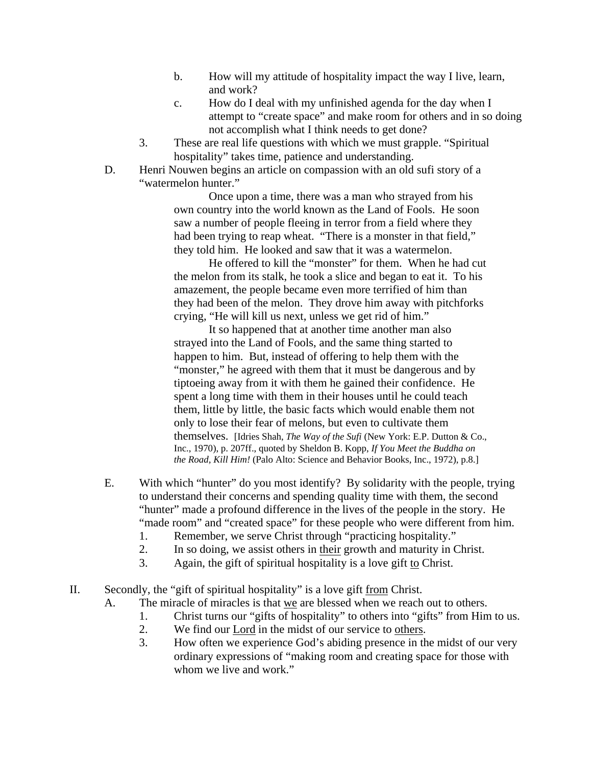- b. How will my attitude of hospitality impact the way I live, learn, and work?
- c. How do I deal with my unfinished agenda for the day when I attempt to "create space" and make room for others and in so doing not accomplish what I think needs to get done?
- 3. These are real life questions with which we must grapple. "Spiritual hospitality" takes time, patience and understanding.
- D. Henri Nouwen begins an article on compassion with an old sufi story of a "watermelon hunter."

Once upon a time, there was a man who strayed from his own country into the world known as the Land of Fools. He soon saw a number of people fleeing in terror from a field where they had been trying to reap wheat. "There is a monster in that field," they told him. He looked and saw that it was a watermelon.

He offered to kill the "monster" for them. When he had cut the melon from its stalk, he took a slice and began to eat it. To his amazement, the people became even more terrified of him than they had been of the melon. They drove him away with pitchforks crying, "He will kill us next, unless we get rid of him."

It so happened that at another time another man also strayed into the Land of Fools, and the same thing started to happen to him. But, instead of offering to help them with the "monster," he agreed with them that it must be dangerous and by tiptoeing away from it with them he gained their confidence. He spent a long time with them in their houses until he could teach them, little by little, the basic facts which would enable them not only to lose their fear of melons, but even to cultivate them themselves. [Idries Shah, *The Way of the Sufi* (New York: E.P. Dutton & Co., Inc., 1970), p. 207ff., quoted by Sheldon B. Kopp, *If You Meet the Buddha on the Road, Kill Him!* (Palo Alto: Science and Behavior Books, Inc., 1972), p.8.]

- E. With which "hunter" do you most identify? By solidarity with the people, trying to understand their concerns and spending quality time with them, the second "hunter" made a profound difference in the lives of the people in the story. He "made room" and "created space" for these people who were different from him.
	- 1. Remember, we serve Christ through "practicing hospitality."
	- 2. In so doing, we assist others in their growth and maturity in Christ.
	- 3. Again, the gift of spiritual hospitality is a love gift to Christ.
- II. Secondly, the "gift of spiritual hospitality" is a love gift from Christ.
	- A. The miracle of miracles is that we are blessed when we reach out to others.
		- 1. Christ turns our "gifts of hospitality" to others into "gifts" from Him to us.
		- 2. We find our Lord in the midst of our service to others.
		- 3. How often we experience God's abiding presence in the midst of our very ordinary expressions of "making room and creating space for those with whom we live and work."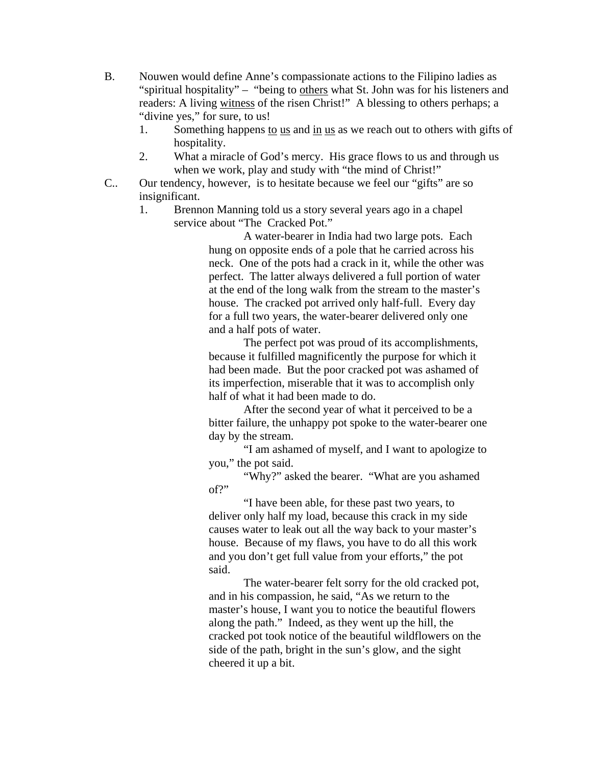- B. Nouwen would define Anne's compassionate actions to the Filipino ladies as "spiritual hospitality" – "being to others what St. John was for his listeners and readers: A living witness of the risen Christ!" A blessing to others perhaps; a "divine yes," for sure, to us!
	- 1. Something happens to us and in us as we reach out to others with gifts of hospitality.
	- 2. What a miracle of God's mercy. His grace flows to us and through us when we work, play and study with "the mind of Christ!"
- C.. Our tendency, however, is to hesitate because we feel our "gifts" are so insignificant.
	- 1. Brennon Manning told us a story several years ago in a chapel service about "The Cracked Pot."

A water-bearer in India had two large pots. Each hung on opposite ends of a pole that he carried across his neck. One of the pots had a crack in it, while the other was perfect. The latter always delivered a full portion of water at the end of the long walk from the stream to the master's house. The cracked pot arrived only half-full. Every day for a full two years, the water-bearer delivered only one and a half pots of water.

The perfect pot was proud of its accomplishments, because it fulfilled magnificently the purpose for which it had been made. But the poor cracked pot was ashamed of its imperfection, miserable that it was to accomplish only half of what it had been made to do.

After the second year of what it perceived to be a bitter failure, the unhappy pot spoke to the water-bearer one day by the stream.

"I am ashamed of myself, and I want to apologize to you," the pot said.

 "Why?" asked the bearer. "What are you ashamed of?"

 "I have been able, for these past two years, to deliver only half my load, because this crack in my side causes water to leak out all the way back to your master's house. Because of my flaws, you have to do all this work and you don't get full value from your efforts," the pot said.

The water-bearer felt sorry for the old cracked pot, and in his compassion, he said, "As we return to the master's house, I want you to notice the beautiful flowers along the path." Indeed, as they went up the hill, the cracked pot took notice of the beautiful wildflowers on the side of the path, bright in the sun's glow, and the sight cheered it up a bit.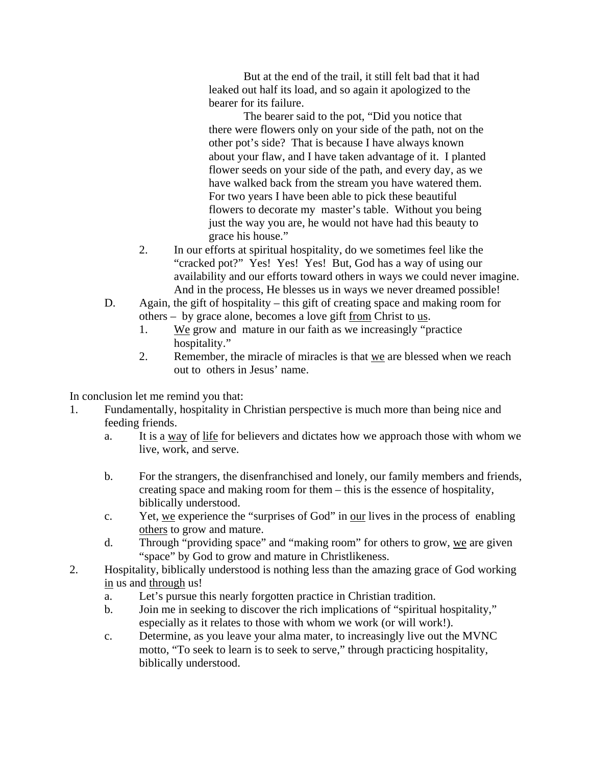But at the end of the trail, it still felt bad that it had leaked out half its load, and so again it apologized to the bearer for its failure.

The bearer said to the pot, "Did you notice that there were flowers only on your side of the path, not on the other pot's side? That is because I have always known about your flaw, and I have taken advantage of it. I planted flower seeds on your side of the path, and every day, as we have walked back from the stream you have watered them. For two years I have been able to pick these beautiful flowers to decorate my master's table. Without you being just the way you are, he would not have had this beauty to grace his house."

- 2. In our efforts at spiritual hospitality, do we sometimes feel like the "cracked pot?" Yes! Yes! Yes! But, God has a way of using our availability and our efforts toward others in ways we could never imagine. And in the process, He blesses us in ways we never dreamed possible!
- D. Again, the gift of hospitality this gift of creating space and making room for others – by grace alone, becomes a love gift from Christ to us.
	- 1. We grow and mature in our faith as we increasingly "practice hospitality."
	- 2. Remember, the miracle of miracles is that we are blessed when we reach out to others in Jesus' name.

In conclusion let me remind you that:

- 1. Fundamentally, hospitality in Christian perspective is much more than being nice and feeding friends.
	- a. It is a way of life for believers and dictates how we approach those with whom we live, work, and serve.
	- b. For the strangers, the disenfranchised and lonely, our family members and friends, creating space and making room for them – this is the essence of hospitality, biblically understood.
	- c. Yet, we experience the "surprises of God" in our lives in the process of enabling others to grow and mature.
	- d. Through "providing space" and "making room" for others to grow, we are given "space" by God to grow and mature in Christlikeness.
- 2. Hospitality, biblically understood is nothing less than the amazing grace of God working in us and through us!
	- a. Let's pursue this nearly forgotten practice in Christian tradition.
	- b. Join me in seeking to discover the rich implications of "spiritual hospitality," especially as it relates to those with whom we work (or will work!).
	- c. Determine, as you leave your alma mater, to increasingly live out the MVNC motto, "To seek to learn is to seek to serve," through practicing hospitality, biblically understood.